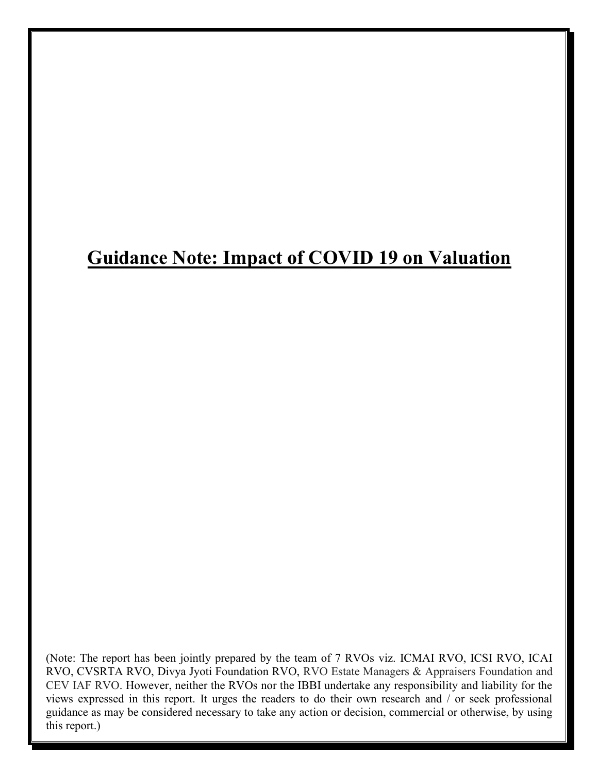# **Guidance Note: Impact of COVID 19 on Valuation**

(Note: The report has been jointly prepared by the team of 7 RVOs viz. ICMAI RVO, ICSI RVO, ICAI RVO, CVSRTA RVO, Divya Jyoti Foundation RVO, RVO Estate Managers & Appraisers Foundation and CEV IAF RVO. However, neither the RVOs nor the IBBI undertake any responsibility and liability for the views expressed in this report. It urges the readers to do their own research and / or seek professional guidance as may be considered necessary to take any action or decision, commercial or otherwise, by using this report.)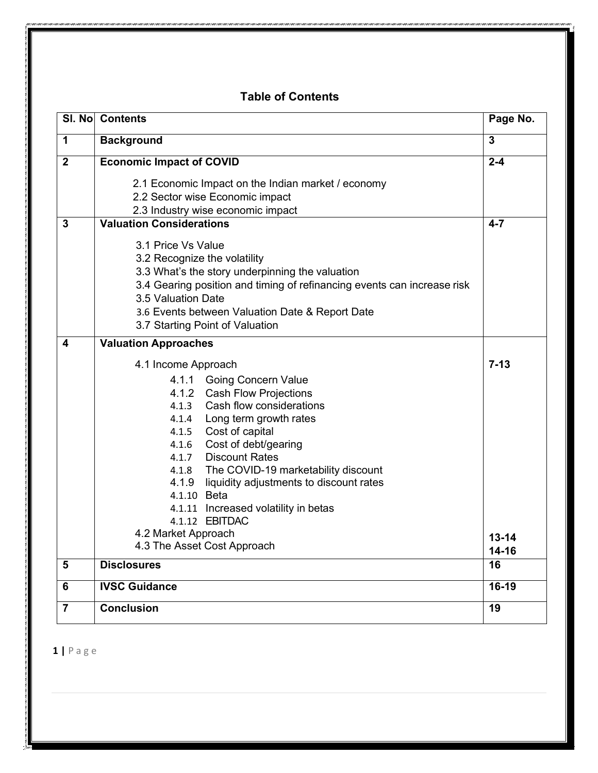## **Table of Contents**

| SI. No         | <b>Contents</b>                                                                                                                                                                                                                                                                                                                                                                                                                                                                  | Page No.                           |
|----------------|----------------------------------------------------------------------------------------------------------------------------------------------------------------------------------------------------------------------------------------------------------------------------------------------------------------------------------------------------------------------------------------------------------------------------------------------------------------------------------|------------------------------------|
| 1              | <b>Background</b>                                                                                                                                                                                                                                                                                                                                                                                                                                                                | $\mathbf{3}$                       |
| $\overline{2}$ | <b>Economic Impact of COVID</b>                                                                                                                                                                                                                                                                                                                                                                                                                                                  | $2 - 4$                            |
|                | 2.1 Economic Impact on the Indian market / economy<br>2.2 Sector wise Economic impact<br>2.3 Industry wise economic impact                                                                                                                                                                                                                                                                                                                                                       |                                    |
| 3              | <b>Valuation Considerations</b>                                                                                                                                                                                                                                                                                                                                                                                                                                                  | $4 - 7$                            |
|                | 3.1 Price Vs Value<br>3.2 Recognize the volatility<br>3.3 What's the story underpinning the valuation<br>3.4 Gearing position and timing of refinancing events can increase risk<br>3.5 Valuation Date<br>3.6 Events between Valuation Date & Report Date<br>3.7 Starting Point of Valuation                                                                                                                                                                                     |                                    |
| 4              | <b>Valuation Approaches</b>                                                                                                                                                                                                                                                                                                                                                                                                                                                      |                                    |
|                | 4.1 Income Approach<br><b>Going Concern Value</b><br>4.1.1<br>4.1.2 Cash Flow Projections<br>Cash flow considerations<br>4.1.3<br>4.1.4 Long term growth rates<br>4.1.5 Cost of capital<br>Cost of debt/gearing<br>4.1.6<br>4.1.7 Discount Rates<br>4.1.8 The COVID-19 marketability discount<br>4.1.9<br>liquidity adjustments to discount rates<br>4.1.10 Beta<br>4.1.11 Increased volatility in betas<br>4.1.12 EBITDAC<br>4.2 Market Approach<br>4.3 The Asset Cost Approach | $7 - 13$<br>$13 - 14$<br>$14 - 16$ |
| 5              | <b>Disclosures</b>                                                                                                                                                                                                                                                                                                                                                                                                                                                               | 16                                 |
| 6              | <b>IVSC Guidance</b>                                                                                                                                                                                                                                                                                                                                                                                                                                                             | $16-19$                            |
| $\overline{7}$ | <b>Conclusion</b>                                                                                                                                                                                                                                                                                                                                                                                                                                                                | 19                                 |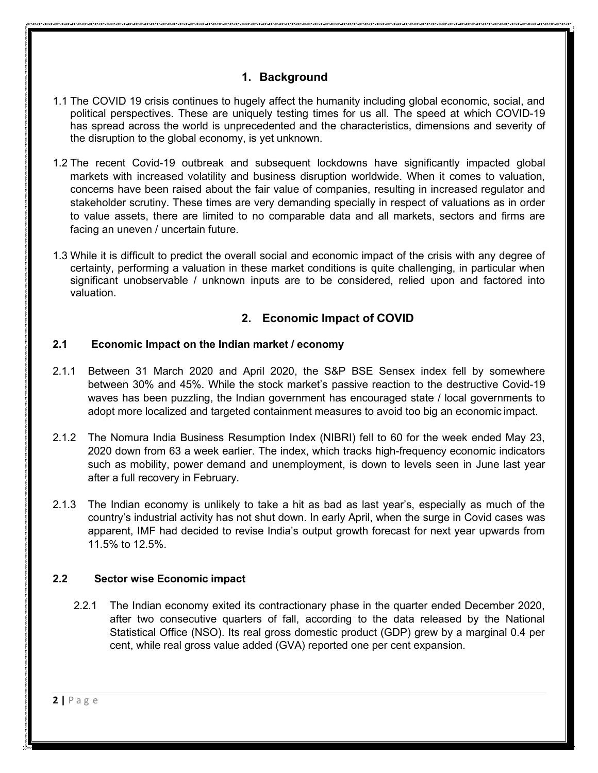## **1. Background**

- 1.1 The COVID 19 crisis continues to hugely affect the humanity including global economic, social, and political perspectives. These are uniquely testing times for us all. The speed at which COVID-19 has spread across the world is unprecedented and the characteristics, dimensions and severity of the disruption to the global economy, is yet unknown.
- 1.2 The recent Covid-19 outbreak and subsequent lockdowns have significantly impacted global markets with increased volatility and business disruption worldwide. When it comes to valuation, concerns have been raised about the fair value of companies, resulting in increased regulator and stakeholder scrutiny. These times are very demanding specially in respect of valuations as in order to value assets, there are limited to no comparable data and all markets, sectors and firms are facing an uneven / uncertain future.
- 1.3 While it is difficult to predict the overall social and economic impact of the crisis with any degree of certainty, performing a valuation in these market conditions is quite challenging, in particular when significant unobservable / unknown inputs are to be considered, relied upon and factored into valuation.

## **2. Economic Impact of COVID**

## **2.1 Economic Impact on the Indian market / economy**

- 2.1.1 Between 31 March 2020 and April 2020, the S&P BSE Sensex index fell by somewhere between 30% and 45%. While the stock market's passive reaction to the destructive Covid-19 waves has been puzzling, the Indian government has encouraged state / local governments to adopt more localized and targeted containment measures to avoid too big an economic impact.
- 2.1.2 The Nomura India Business Resumption Index (NIBRI) fell to 60 for the week ended May 23, 2020 down from 63 a week earlier. The index, which tracks high-frequency economic indicators such as mobility, power demand and unemployment, is down to levels seen in June last year after a full recovery in February.
- 2.1.3 The Indian economy is unlikely to take a hit as bad as last year's, especially as much of the country's industrial activity has not shut down. In early April, when the surge in Covid cases was apparent, IMF had decided to revise India's output growth forecast for next year upwards from 11.5% to 12.5%.

## **2.2 Sector wise Economic impact**

2.2.1 The Indian economy exited its contractionary phase in the quarter ended December 2020, after two consecutive quarters of fall, according to the data released by the National Statistical Office (NSO). Its real gross domestic product (GDP) grew by a marginal 0.4 per cent, while real gross value added (GVA) reported one per cent expansion.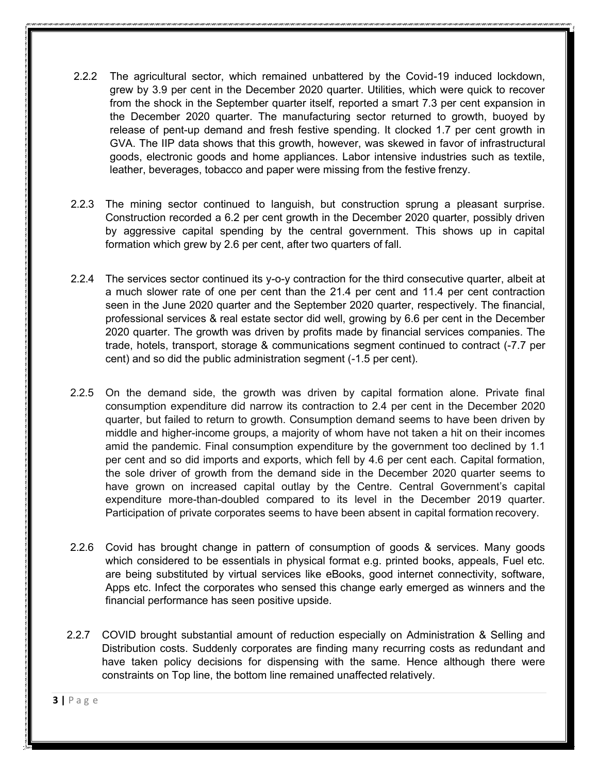- 2.2.2 The agricultural sector, which remained unbattered by the Covid-19 induced lockdown, grew by 3.9 per cent in the December 2020 quarter. Utilities, which were quick to recover from the shock in the September quarter itself, reported a smart 7.3 per cent expansion in the December 2020 quarter. The manufacturing sector returned to growth, buoyed by release of pent-up demand and fresh festive spending. It clocked 1.7 per cent growth in GVA. The IIP data shows that this growth, however, was skewed in favor of infrastructural goods, electronic goods and home appliances. Labor intensive industries such as textile, leather, beverages, tobacco and paper were missing from the festive frenzy.
- 2.2.3 The mining sector continued to languish, but construction sprung a pleasant surprise. Construction recorded a 6.2 per cent growth in the December 2020 quarter, possibly driven by aggressive capital spending by the central government. This shows up in capital formation which grew by 2.6 per cent, after two quarters of fall.
- 2.2.4 The services sector continued its y-o-y contraction for the third consecutive quarter, albeit at a much slower rate of one per cent than the 21.4 per cent and 11.4 per cent contraction seen in the June 2020 quarter and the September 2020 quarter, respectively. The financial, professional services & real estate sector did well, growing by 6.6 per cent in the December 2020 quarter. The growth was driven by profits made by financial services companies. The trade, hotels, transport, storage & communications segment continued to contract (-7.7 per cent) and so did the public administration segment (-1.5 per cent).
- 2.2.5 On the demand side, the growth was driven by capital formation alone. Private final consumption expenditure did narrow its contraction to 2.4 per cent in the December 2020 quarter, but failed to return to growth. Consumption demand seems to have been driven by middle and higher-income groups, a majority of whom have not taken a hit on their incomes amid the pandemic. Final consumption expenditure by the government too declined by 1.1 per cent and so did imports and exports, which fell by 4.6 per cent each. Capital formation, the sole driver of growth from the demand side in the December 2020 quarter seems to have grown on increased capital outlay by the Centre. Central Government's capital expenditure more-than-doubled compared to its level in the December 2019 quarter. Participation of private corporates seems to have been absent in capital formation recovery.
- 2.2.6 Covid has brought change in pattern of consumption of goods & services. Many goods which considered to be essentials in physical format e.g. printed books, appeals, Fuel etc. are being substituted by virtual services like eBooks, good internet connectivity, software, Apps etc. Infect the corporates who sensed this change early emerged as winners and the financial performance has seen positive upside.
- 2.2.7 COVID brought substantial amount of reduction especially on Administration & Selling and Distribution costs. Suddenly corporates are finding many recurring costs as redundant and have taken policy decisions for dispensing with the same. Hence although there were constraints on Top line, the bottom line remained unaffected relatively.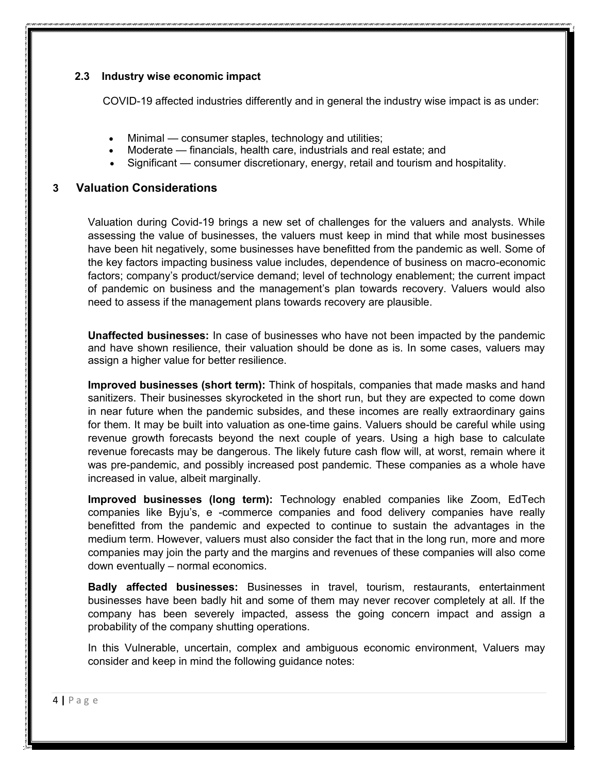## **2.3 Industry wise economic impact**

COVID-19 affected industries differently and in general the industry wise impact is as under:

- Minimal consumer staples, technology and utilities;
- Moderate financials, health care, industrials and real estate; and
- Significant consumer discretionary, energy, retail and tourism and hospitality.

#### **3 Valuation Considerations**

Valuation during Covid-19 brings a new set of challenges for the valuers and analysts. While assessing the value of businesses, the valuers must keep in mind that while most businesses have been hit negatively, some businesses have benefitted from the pandemic as well. Some of the key factors impacting business value includes, dependence of business on macro-economic factors; company's product/service demand; level of technology enablement; the current impact of pandemic on business and the management's plan towards recovery. Valuers would also need to assess if the management plans towards recovery are plausible.

**Unaffected businesses:** In case of businesses who have not been impacted by the pandemic and have shown resilience, their valuation should be done as is. In some cases, valuers may assign a higher value for better resilience.

**Improved businesses (short term):** Think of hospitals, companies that made masks and hand sanitizers. Their businesses skyrocketed in the short run, but they are expected to come down in near future when the pandemic subsides, and these incomes are really extraordinary gains for them. It may be built into valuation as one-time gains. Valuers should be careful while using revenue growth forecasts beyond the next couple of years. Using a high base to calculate revenue forecasts may be dangerous. The likely future cash flow will, at worst, remain where it was pre-pandemic, and possibly increased post pandemic. These companies as a whole have increased in value, albeit marginally.

**Improved businesses (long term):** Technology enabled companies like Zoom, EdTech companies like Byju's, e -commerce companies and food delivery companies have really benefitted from the pandemic and expected to continue to sustain the advantages in the medium term. However, valuers must also consider the fact that in the long run, more and more companies may join the party and the margins and revenues of these companies will also come down eventually – normal economics.

**Badly affected businesses:** Businesses in travel, tourism, restaurants, entertainment businesses have been badly hit and some of them may never recover completely at all. If the company has been severely impacted, assess the going concern impact and assign a probability of the company shutting operations.

In this Vulnerable, uncertain, complex and ambiguous economic environment, Valuers may consider and keep in mind the following guidance notes: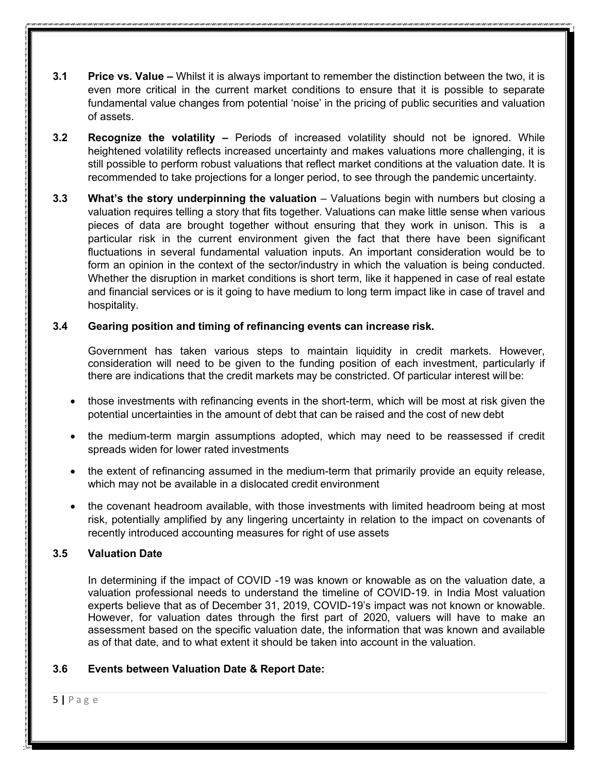- **3.1 Price vs. Value –** Whilst it is always important to remember the distinction between the two, it is even more critical in the current market conditions to ensure that it is possible to separate fundamental value changes from potential 'noise' in the pricing of public securities and valuation of assets.
- **3.2 Recognize the volatility –** Periods of increased volatility should not be ignored. While heightened volatility reflects increased uncertainty and makes valuations more challenging, it is still possible to perform robust valuations that reflect market conditions at the valuation date. It is recommended to take projections for a longer period, to see through the pandemic uncertainty.
- **3.3 What's the story underpinning the valuation** Valuations begin with numbers but closing a valuation requires telling a story that fits together. Valuations can make little sense when various pieces of data are brought together without ensuring that they work in unison. This is a particular risk in the current environment given the fact that there have been significant fluctuations in several fundamental valuation inputs. An important consideration would be to form an opinion in the context of the sector/industry in which the valuation is being conducted. Whether the disruption in market conditions is short term, like it happened in case of real estate and financial services or is it going to have medium to long term impact like in case of travel and hospitality.

## **3.4 Gearing position and timing of refinancing events can increase risk.**

Government has taken various steps to maintain liquidity in credit markets. However, consideration will need to be given to the funding position of each investment, particularly if there are indications that the credit markets may be constricted. Of particular interest will be:

- those investments with refinancing events in the short-term, which will be most at risk given the potential uncertainties in the amount of debt that can be raised and the cost of new debt
- the medium-term margin assumptions adopted, which may need to be reassessed if credit spreads widen for lower rated investments
- the extent of refinancing assumed in the medium-term that primarily provide an equity release, which may not be available in a dislocated credit environment
- the covenant headroom available, with those investments with limited headroom being at most risk, potentially amplified by any lingering uncertainty in relation to the impact on covenants of recently introduced accounting measures for right of use assets

## **3.5 Valuation Date**

In determining if the impact of COVID -19 was known or knowable as on the valuation date, a valuation professional needs to understand the timeline of COVID-19. in India Most valuation experts believe that as of December 31, 2019, COVID-19's impact was not known or knowable. However, for valuation dates through the first part of 2020, valuers will have to make an assessment based on the specific valuation date, the information that was known and available as of that date, and to what extent it should be taken into account in the valuation.

## **3.6 Events between Valuation Date & Report Date:**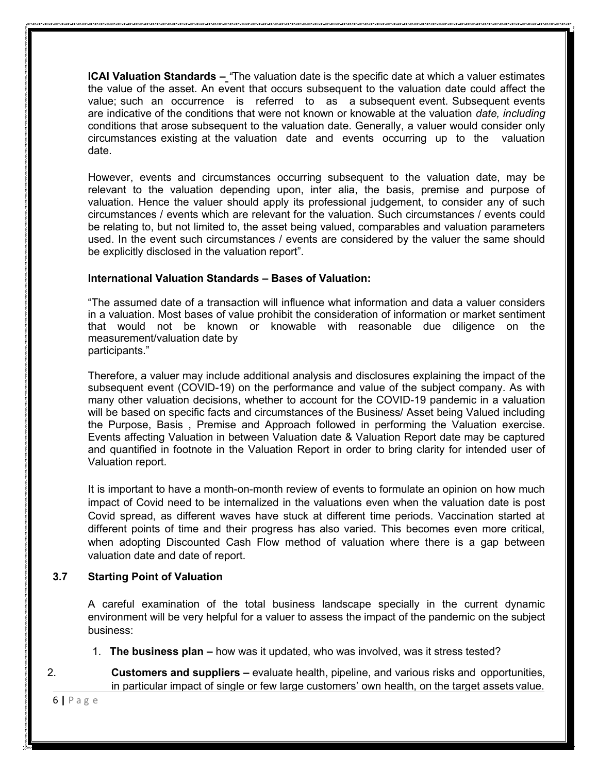**ICAI Valuation Standards –** *"*The valuation date is the specific date at which a valuer estimates the value of the asset. An event that occurs subsequent to the valuation date could affect the value; such an occurrence is referred to as a subsequent event. Subsequent events are indicative of the conditions that were not known or knowable at the valuation *date, including*  conditions that arose subsequent to the valuation date. Generally, a valuer would consider only circumstances existing at the valuation date and events occurring up to the valuation date.

However, events and circumstances occurring subsequent to the valuation date, may be relevant to the valuation depending upon, inter alia, the basis, premise and purpose of valuation. Hence the valuer should apply its professional judgement, to consider any of such circumstances / events which are relevant for the valuation. Such circumstances / events could be relating to, but not limited to, the asset being valued, comparables and valuation parameters used. In the event such circumstances / events are considered by the valuer the same should be explicitly disclosed in the valuation report".

#### **International Valuation Standards – Bases of Valuation:**

"The assumed date of a transaction will influence what information and data a valuer considers in a valuation. Most bases of value prohibit the consideration of information or market sentiment that would not be known or knowable with reasonable due diligence on the measurement/valuation date by participants."

Therefore, a valuer may include additional analysis and disclosures explaining the impact of the subsequent event (COVID-19) on the performance and value of the subject company. As with many other valuation decisions, whether to account for the COVID-19 pandemic in a valuation will be based on specific facts and circumstances of the Business/ Asset being Valued including the Purpose, Basis , Premise and Approach followed in performing the Valuation exercise. Events affecting Valuation in between Valuation date & Valuation Report date may be captured and quantified in footnote in the Valuation Report in order to bring clarity for intended user of Valuation report.

It is important to have a month-on-month review of events to formulate an opinion on how much impact of Covid need to be internalized in the valuations even when the valuation date is post Covid spread, as different waves have stuck at different time periods. Vaccination started at different points of time and their progress has also varied. This becomes even more critical, when adopting Discounted Cash Flow method of valuation where there is a gap between valuation date and date of report.

## **3.7 Starting Point of Valuation**

A careful examination of the total business landscape specially in the current dynamic environment will be very helpful for a valuer to assess the impact of the pandemic on the subject business:

- 1. **The business plan –** how was it updated, who was involved, was it stress tested?
- 2. **Customers and suppliers –** evaluate health, pipeline, and various risks and opportunities, in particular impact of single or few large customers' own health, on the target assets value.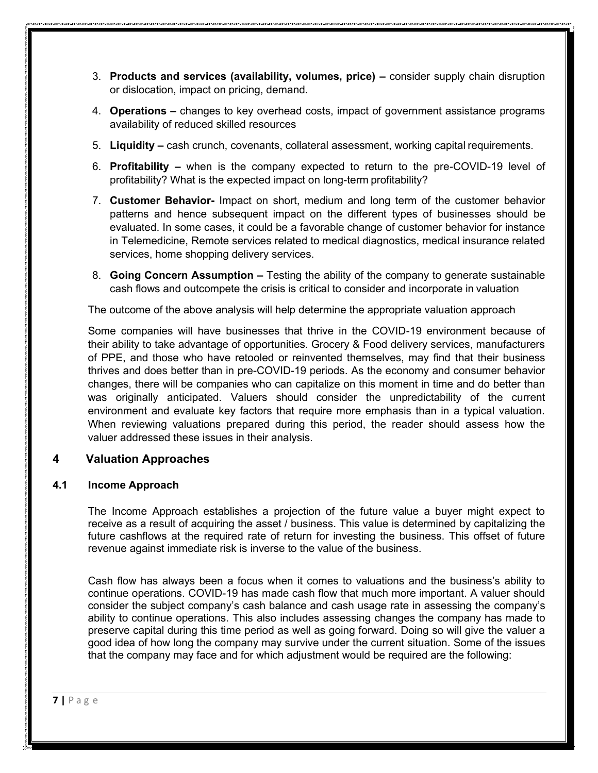- 3. **Products and services (availability, volumes, price) –** consider supply chain disruption or dislocation, impact on pricing, demand.
- 4. **Operations –** changes to key overhead costs, impact of government assistance programs availability of reduced skilled resources
- 5. **Liquidity –** cash crunch, covenants, collateral assessment, working capital requirements.
- 6. **Profitability –** when is the company expected to return to the pre-COVID-19 level of profitability? What is the expected impact on long-term profitability?
- 7. **Customer Behavior-** Impact on short, medium and long term of the customer behavior patterns and hence subsequent impact on the different types of businesses should be evaluated. In some cases, it could be a favorable change of customer behavior for instance in Telemedicine, Remote services related to medical diagnostics, medical insurance related services, home shopping delivery services.
- 8. **Going Concern Assumption –** Testing the ability of the company to generate sustainable cash flows and outcompete the crisis is critical to consider and incorporate in valuation

The outcome of the above analysis will help determine the appropriate valuation approach

Some companies will have businesses that thrive in the COVID-19 environment because of their ability to take advantage of opportunities. Grocery & Food delivery services, manufacturers of PPE, and those who have retooled or reinvented themselves, may find that their business thrives and does better than in pre-COVID-19 periods. As the economy and consumer behavior changes, there will be companies who can capitalize on this moment in time and do better than was originally anticipated. Valuers should consider the unpredictability of the current environment and evaluate key factors that require more emphasis than in a typical valuation. When reviewing valuations prepared during this period, the reader should assess how the valuer addressed these issues in their analysis.

## **4 Valuation Approaches**

#### **4.1 Income Approach**

The Income Approach establishes a projection of the future value a buyer might expect to receive as a result of acquiring the asset / business. This value is determined by capitalizing the future cashflows at the required rate of return for investing the business. This offset of future revenue against immediate risk is inverse to the value of the business.

Cash flow has always been a focus when it comes to valuations and the business's ability to continue operations. COVID-19 has made cash flow that much more important. A valuer should consider the subject company's cash balance and cash usage rate in assessing the company's ability to continue operations. This also includes assessing changes the company has made to preserve capital during this time period as well as going forward. Doing so will give the valuer a good idea of how long the company may survive under the current situation. Some of the issues that the company may face and for which adjustment would be required are the following: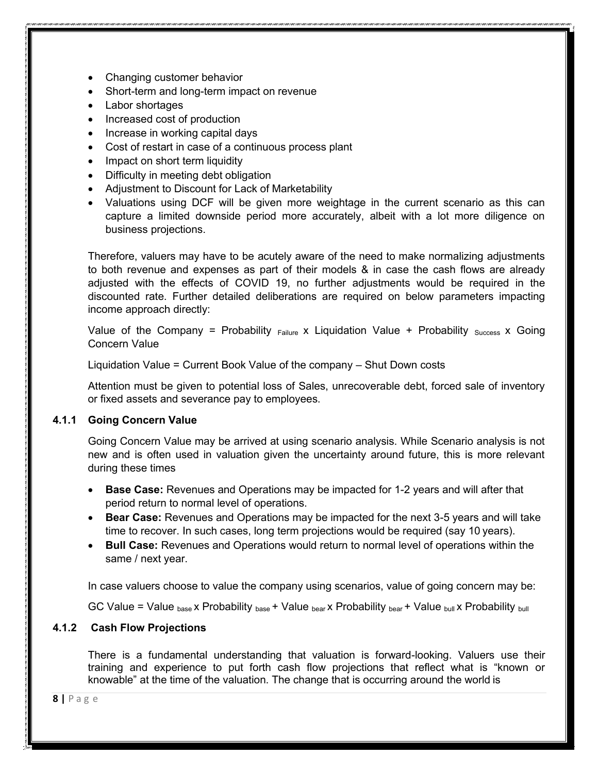- Changing customer behavior
- Short-term and long-term impact on revenue
- Labor shortages
- Increased cost of production
- Increase in working capital days
- Cost of restart in case of a continuous process plant
- Impact on short term liquidity
- Difficulty in meeting debt obligation
- Adjustment to Discount for Lack of Marketability
- Valuations using DCF will be given more weightage in the current scenario as this can capture a limited downside period more accurately, albeit with a lot more diligence on business projections.

Therefore, valuers may have to be acutely aware of the need to make normalizing adjustments to both revenue and expenses as part of their models & in case the cash flows are already adjusted with the effects of COVID 19, no further adjustments would be required in the discounted rate. Further detailed deliberations are required on below parameters impacting income approach directly:

Value of the Company = Probability  $F_{\text{failure}}$  x Liquidation Value + Probability  $S_{\text{uccess}}$  x Going Concern Value

Liquidation Value = Current Book Value of the company – Shut Down costs

Attention must be given to potential loss of Sales, unrecoverable debt, forced sale of inventory or fixed assets and severance pay to employees.

## **4.1.1 Going Concern Value**

Going Concern Value may be arrived at using scenario analysis. While Scenario analysis is not new and is often used in valuation given the uncertainty around future, this is more relevant during these times

- **Base Case:** Revenues and Operations may be impacted for 1-2 years and will after that period return to normal level of operations.
- **Bear Case:** Revenues and Operations may be impacted for the next 3-5 years and will take time to recover. In such cases, long term projections would be required (say 10 years).
- **Bull Case:** Revenues and Operations would return to normal level of operations within the same / next year.

In case valuers choose to value the company using scenarios, value of going concern may be:

GC Value = Value  $_{base}$  x Probability  $_{base}$  + Value  $_{beat}$  x Probability  $_{beat}$  + Value  $_{bul}$  x Probability  $_{bul}$ 

## **4.1.2 Cash Flow Projections**

There is a fundamental understanding that valuation is forward-looking. Valuers use their training and experience to put forth cash flow projections that reflect what is "known or knowable" at the time of the valuation. The change that is occurring around the world is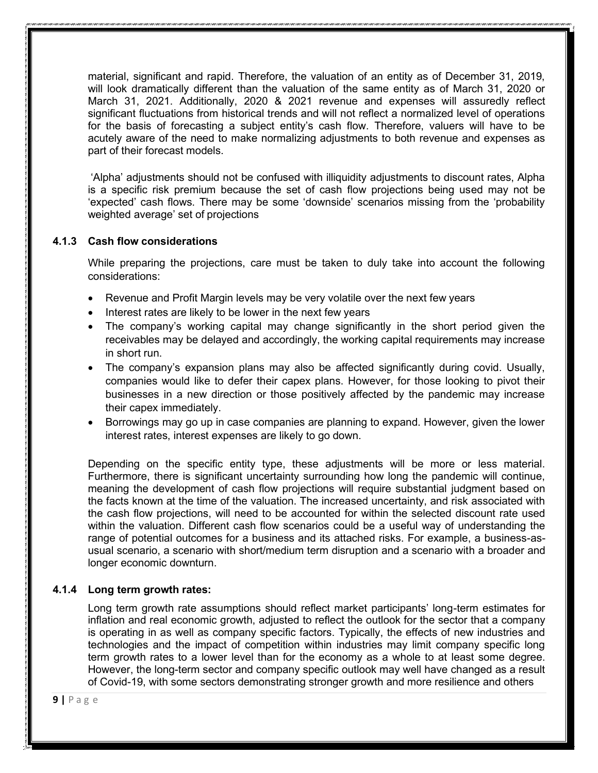material, significant and rapid. Therefore, the valuation of an entity as of December 31, 2019, will look dramatically different than the valuation of the same entity as of March 31, 2020 or March 31, 2021. Additionally, 2020 & 2021 revenue and expenses will assuredly reflect significant fluctuations from historical trends and will not reflect a normalized level of operations for the basis of forecasting a subject entity's cash flow. Therefore, valuers will have to be acutely aware of the need to make normalizing adjustments to both revenue and expenses as part of their forecast models.

'Alpha' adjustments should not be confused with illiquidity adjustments to discount rates, Alpha is a specific risk premium because the set of cash flow projections being used may not be 'expected' cash flows. There may be some 'downside' scenarios missing from the 'probability weighted average' set of projections

#### **4.1.3 Cash flow considerations**

While preparing the projections, care must be taken to duly take into account the following considerations:

- Revenue and Profit Margin levels may be very volatile over the next few years
- Interest rates are likely to be lower in the next few years
- The company's working capital may change significantly in the short period given the receivables may be delayed and accordingly, the working capital requirements may increase in short run.
- The company's expansion plans may also be affected significantly during covid. Usually, companies would like to defer their capex plans. However, for those looking to pivot their businesses in a new direction or those positively affected by the pandemic may increase their capex immediately.
- Borrowings may go up in case companies are planning to expand. However, given the lower interest rates, interest expenses are likely to go down.

Depending on the specific entity type, these adjustments will be more or less material. Furthermore, there is significant uncertainty surrounding how long the pandemic will continue, meaning the development of cash flow projections will require substantial judgment based on the facts known at the time of the valuation. The increased uncertainty, and risk associated with the cash flow projections, will need to be accounted for within the selected discount rate used within the valuation. Different cash flow scenarios could be a useful way of understanding the range of potential outcomes for a business and its attached risks. For example, a business-asusual scenario, a scenario with short/medium term disruption and a scenario with a broader and longer economic downturn.

## **4.1.4 Long term growth rates:**

Long term growth rate assumptions should reflect market participants' long-term estimates for inflation and real economic growth, adjusted to reflect the outlook for the sector that a company is operating in as well as company specific factors. Typically, the effects of new industries and technologies and the impact of competition within industries may limit company specific long term growth rates to a lower level than for the economy as a whole to at least some degree. However, the long-term sector and company specific outlook may well have changed as a result of Covid-19, with some sectors demonstrating stronger growth and more resilience and others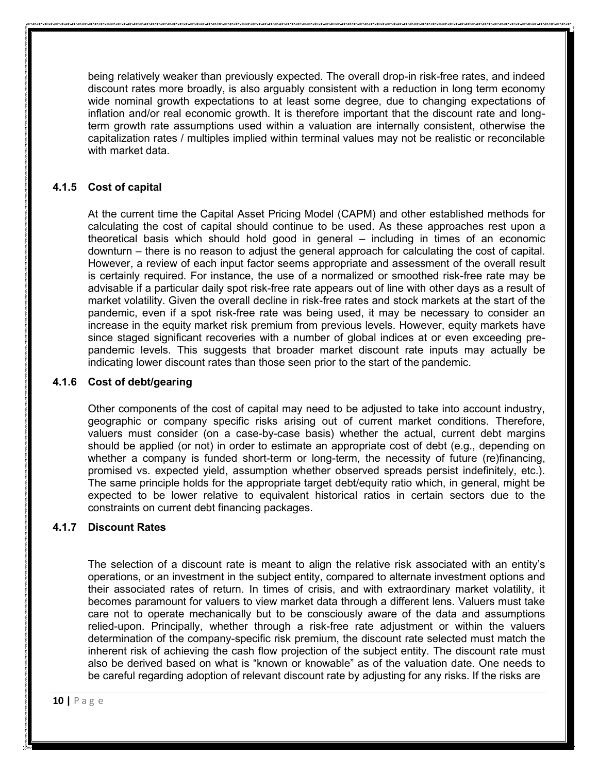being relatively weaker than previously expected. The overall drop-in risk-free rates, and indeed discount rates more broadly, is also arguably consistent with a reduction in long term economy wide nominal growth expectations to at least some degree, due to changing expectations of inflation and/or real economic growth. It is therefore important that the discount rate and longterm growth rate assumptions used within a valuation are internally consistent, otherwise the capitalization rates / multiples implied within terminal values may not be realistic or reconcilable with market data.

## **4.1.5 Cost of capital**

At the current time the Capital Asset Pricing Model (CAPM) and other established methods for calculating the cost of capital should continue to be used. As these approaches rest upon a theoretical basis which should hold good in general – including in times of an economic downturn – there is no reason to adjust the general approach for calculating the cost of capital. However, a review of each input factor seems appropriate and assessment of the overall result is certainly required. For instance, the use of a normalized or smoothed risk-free rate may be advisable if a particular daily spot risk-free rate appears out of line with other days as a result of market volatility. Given the overall decline in risk-free rates and stock markets at the start of the pandemic, even if a spot risk-free rate was being used, it may be necessary to consider an increase in the equity market risk premium from previous levels. However, equity markets have since staged significant recoveries with a number of global indices at or even exceeding prepandemic levels. This suggests that broader market discount rate inputs may actually be indicating lower discount rates than those seen prior to the start of the pandemic.

#### **4.1.6 Cost of debt/gearing**

Other components of the cost of capital may need to be adjusted to take into account industry, geographic or company specific risks arising out of current market conditions. Therefore, valuers must consider (on a case-by-case basis) whether the actual, current debt margins should be applied (or not) in order to estimate an appropriate cost of debt (e.g., depending on whether a company is funded short-term or long-term, the necessity of future (re)financing, promised vs. expected yield, assumption whether observed spreads persist indefinitely, etc.). The same principle holds for the appropriate target debt/equity ratio which, in general, might be expected to be lower relative to equivalent historical ratios in certain sectors due to the constraints on current debt financing packages.

## **4.1.7 Discount Rates**

The selection of a discount rate is meant to align the relative risk associated with an entity's operations, or an investment in the subject entity, compared to alternate investment options and their associated rates of return. In times of crisis, and with extraordinary market volatility, it becomes paramount for valuers to view market data through a different lens. Valuers must take care not to operate mechanically but to be consciously aware of the data and assumptions relied-upon. Principally, whether through a risk-free rate adjustment or within the valuers determination of the company-specific risk premium, the discount rate selected must match the inherent risk of achieving the cash flow projection of the subject entity. The discount rate must also be derived based on what is "known or knowable" as of the valuation date. One needs to be careful regarding adoption of relevant discount rate by adjusting for any risks. If the risks are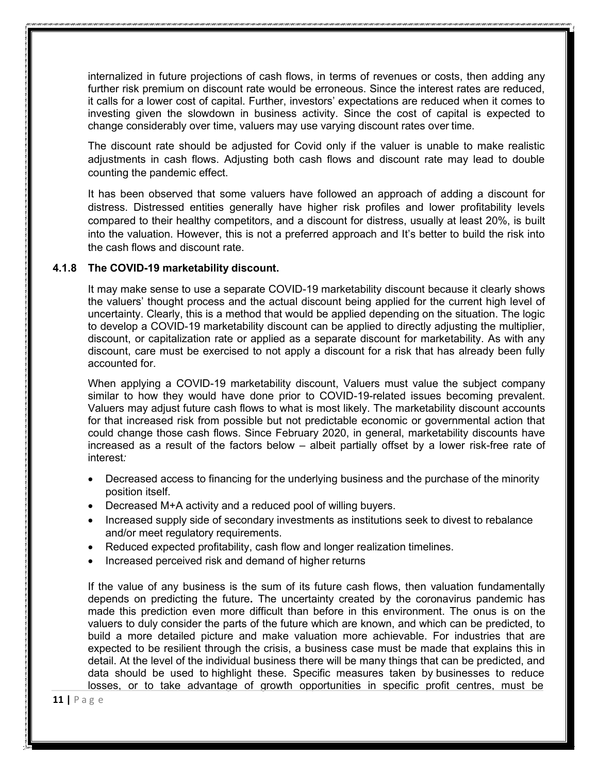internalized in future projections of cash flows, in terms of revenues or costs, then adding any further risk premium on discount rate would be erroneous. Since the interest rates are reduced, it calls for a lower cost of capital. Further, investors' expectations are reduced when it comes to investing given the slowdown in business activity. Since the cost of capital is expected to change considerably over time, valuers may use varying discount rates over time.

The discount rate should be adjusted for Covid only if the valuer is unable to make realistic adjustments in cash flows. Adjusting both cash flows and discount rate may lead to double counting the pandemic effect.

It has been observed that some valuers have followed an approach of adding a discount for distress. Distressed entities generally have higher risk profiles and lower profitability levels compared to their healthy competitors, and a discount for distress, usually at least 20%, is built into the valuation. However, this is not a preferred approach and It's better to build the risk into the cash flows and discount rate.

#### **4.1.8 The COVID-19 marketability discount.**

It may make sense to use a separate COVID-19 marketability discount because it clearly shows the valuers' thought process and the actual discount being applied for the current high level of uncertainty. Clearly, this is a method that would be applied depending on the situation. The logic to develop a COVID-19 marketability discount can be applied to directly adjusting the multiplier, discount, or capitalization rate or applied as a separate discount for marketability. As with any discount, care must be exercised to not apply a discount for a risk that has already been fully accounted for.

When applying a COVID-19 marketability discount, Valuers must value the subject company similar to how they would have done prior to COVID-19-related issues becoming prevalent. Valuers may adjust future cash flows to what is most likely. The marketability discount accounts for that increased risk from possible but not predictable economic or governmental action that could change those cash flows. Since February 2020, in general, marketability discounts have increased as a result of the factors below – albeit partially offset by a lower risk-free rate of interest*:*

- Decreased access to financing for the underlying business and the purchase of the minority position itself.
- Decreased M+A activity and a reduced pool of willing buyers.
- Increased supply side of secondary investments as institutions seek to divest to rebalance and/or meet regulatory requirements.
- Reduced expected profitability, cash flow and longer realization timelines.
- Increased perceived risk and demand of higher returns

If the value of any business is the sum of its future cash flows, then valuation fundamentally depends on predicting the future**.** The uncertainty created by the coronavirus pandemic has made this prediction even more difficult than before in this environment. The onus is on the valuers to duly consider the parts of the future which are known, and which can be predicted, to build a more detailed picture and make valuation more achievable. For industries that are expected to be resilient through the crisis, a business case must be made that explains this in detail. At the level of the individual business there will be many things that can be predicted, and data should be used to highlight these. Specific measures taken by businesses to reduce losses, or to take advantage of growth opportunities in specific profit centres, must be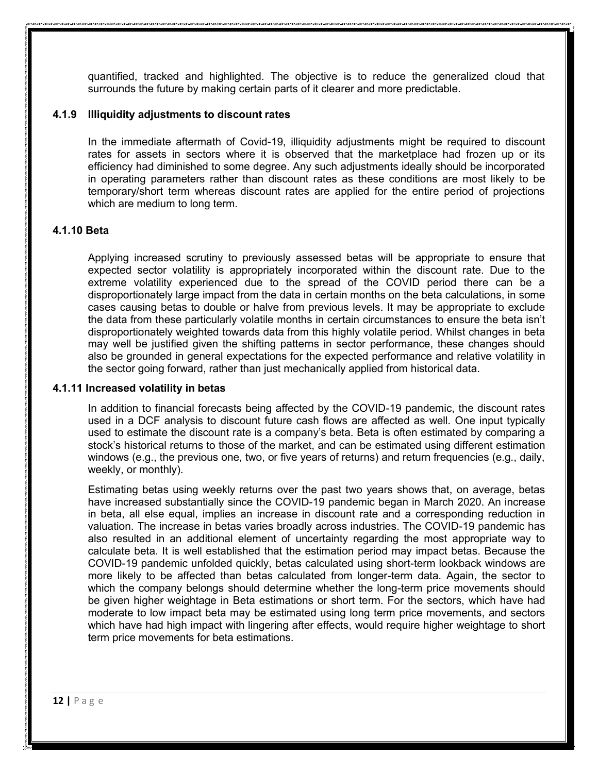quantified, tracked and highlighted. The objective is to reduce the generalized cloud that surrounds the future by making certain parts of it clearer and more predictable.

#### **4.1.9 Illiquidity adjustments to discount rates**

In the immediate aftermath of Covid-19, illiquidity adjustments might be required to discount rates for assets in sectors where it is observed that the marketplace had frozen up or its efficiency had diminished to some degree. Any such adjustments ideally should be incorporated in operating parameters rather than discount rates as these conditions are most likely to be temporary/short term whereas discount rates are applied for the entire period of projections which are medium to long term.

#### **4.1.10 Beta**

Applying increased scrutiny to previously assessed betas will be appropriate to ensure that expected sector volatility is appropriately incorporated within the discount rate. Due to the extreme volatility experienced due to the spread of the COVID period there can be a disproportionately large impact from the data in certain months on the beta calculations, in some cases causing betas to double or halve from previous levels. It may be appropriate to exclude the data from these particularly volatile months in certain circumstances to ensure the beta isn't disproportionately weighted towards data from this highly volatile period. Whilst changes in beta may well be justified given the shifting patterns in sector performance, these changes should also be grounded in general expectations for the expected performance and relative volatility in the sector going forward, rather than just mechanically applied from historical data.

#### **4.1.11 Increased volatility in betas**

In addition to financial forecasts being affected by the COVID-19 pandemic, the discount rates used in a DCF analysis to discount future cash flows are affected as well. One input typically used to estimate the discount rate is a company's beta. Beta is often estimated by comparing a stock's historical returns to those of the market, and can be estimated using different estimation windows (e.g., the previous one, two, or five years of returns) and return frequencies (e.g., daily, weekly, or monthly).

Estimating betas using weekly returns over the past two years shows that, on average, betas have increased substantially since the COVID-19 pandemic began in March 2020. An increase in beta, all else equal, implies an increase in discount rate and a corresponding reduction in valuation. The increase in betas varies broadly across industries. The COVID-19 pandemic has also resulted in an additional element of uncertainty regarding the most appropriate way to calculate beta. It is well established that the estimation period may impact betas. Because the COVID-19 pandemic unfolded quickly, betas calculated using short-term lookback windows are more likely to be affected than betas calculated from longer-term data. Again, the sector to which the company belongs should determine whether the long-term price movements should be given higher weightage in Beta estimations or short term. For the sectors, which have had moderate to low impact beta may be estimated using long term price movements, and sectors which have had high impact with lingering after effects, would require higher weightage to short term price movements for beta estimations.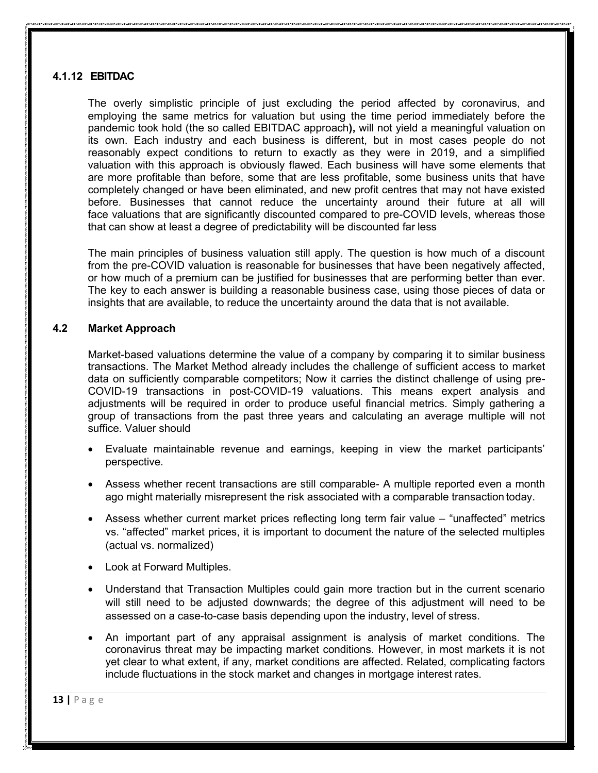## **4.1.12 EBITDAC**

The overly simplistic principle of just excluding the period affected by coronavirus, and employing the same metrics for valuation but using the time period immediately before the pandemic took hold (the so called EBITDAC approach**),** will not yield a meaningful valuation on its own. Each industry and each business is different, but in most cases people do not reasonably expect conditions to return to exactly as they were in 2019, and a simplified valuation with this approach is obviously flawed. Each business will have some elements that are more profitable than before, some that are less profitable, some business units that have completely changed or have been eliminated, and new profit centres that may not have existed before. Businesses that cannot reduce the uncertainty around their future at all will face valuations that are significantly discounted compared to pre-COVID levels, whereas those that can show at least a degree of predictability will be discounted far less

The main principles of business valuation still apply. The question is how much of a discount from the pre-COVID valuation is reasonable for businesses that have been negatively affected, or how much of a premium can be justified for businesses that are performing better than ever. The key to each answer is building a reasonable business case, using those pieces of data or insights that are available, to reduce the uncertainty around the data that is not available.

#### **4.2 Market Approach**

Market-based valuations determine the value of a company by comparing it to similar business transactions. The Market Method already includes the challenge of sufficient access to market data on sufficiently comparable competitors; Now it carries the distinct challenge of using pre-COVID-19 transactions in post-COVID-19 valuations. This means expert analysis and adjustments will be required in order to produce useful financial metrics. Simply gathering a group of transactions from the past three years and calculating an average multiple will not suffice. Valuer should

- Evaluate maintainable revenue and earnings, keeping in view the market participants' perspective.
- Assess whether recent transactions are still comparable- A multiple reported even a month ago might materially misrepresent the risk associated with a comparable transaction today.
- Assess whether current market prices reflecting long term fair value "unaffected" metrics vs. "affected" market prices, it is important to document the nature of the selected multiples (actual vs. normalized)
- Look at Forward Multiples.
- Understand that Transaction Multiples could gain more traction but in the current scenario will still need to be adjusted downwards; the degree of this adjustment will need to be assessed on a case-to-case basis depending upon the industry, level of stress.
- An important part of any appraisal assignment is analysis of market conditions. The coronavirus threat may be impacting market conditions. However, in most markets it is not yet clear to what extent, if any, market conditions are affected. Related, complicating factors include fluctuations in the stock market and changes in mortgage interest rates.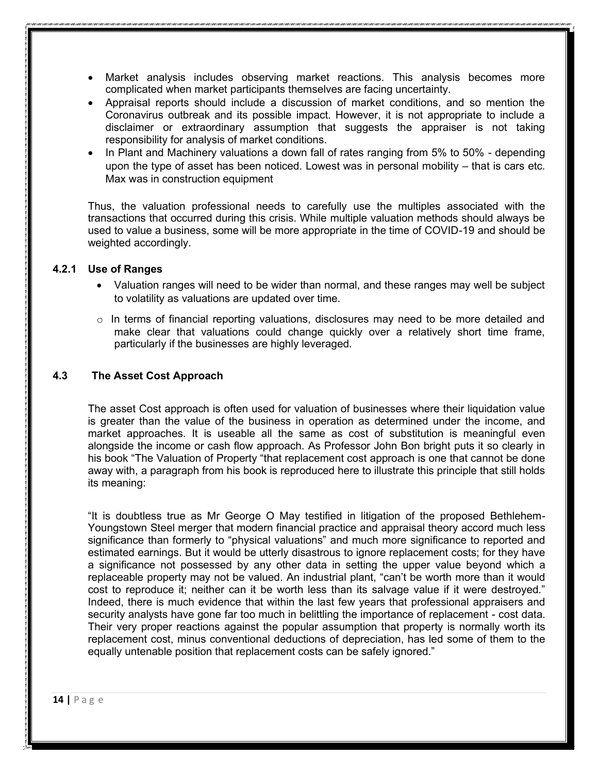- Market analysis includes observing market reactions. This analysis becomes more complicated when market participants themselves are facing uncertainty.
- Appraisal reports should include a discussion of market conditions, and so mention the Coronavirus outbreak and its possible impact. However, it is not appropriate to include a disclaimer or extraordinary assumption that suggests the appraiser is not taking responsibility for analysis of market conditions.
- In Plant and Machinery valuations a down fall of rates ranging from 5% to 50% depending upon the type of asset has been noticed. Lowest was in personal mobility – that is cars etc. Max was in construction equipment

Thus, the valuation professional needs to carefully use the multiples associated with the transactions that occurred during this crisis. While multiple valuation methods should always be used to value a business, some will be more appropriate in the time of COVID-19 and should be weighted accordingly.

#### **4.2.1 Use of Ranges**

- Valuation ranges will need to be wider than normal, and these ranges may well be subject to volatility as valuations are updated over time.
- $\circ$  In terms of financial reporting valuations, disclosures may need to be more detailed and make clear that valuations could change quickly over a relatively short time frame, particularly if the businesses are highly leveraged.

#### **4.3 The Asset Cost Approach**

The asset Cost approach is often used for valuation of businesses where their liquidation value is greater than the value of the business in operation as determined under the income, and market approaches. It is useable all the same as cost of substitution is meaningful even alongside the income or cash flow approach. As Professor John Bon bright puts it so clearly in his book "The Valuation of Property "that replacement cost approach is one that cannot be done away with, a paragraph from his book is reproduced here to illustrate this principle that still holds its meaning:

"It is doubtless true as Mr George O May testified in litigation of the proposed Bethlehem-Youngstown Steel merger that modern financial practice and appraisal theory accord much less significance than formerly to "physical valuations" and much more significance to reported and estimated earnings. But it would be utterly disastrous to ignore replacement costs; for they have a significance not possessed by any other data in setting the upper value beyond which a replaceable property may not be valued. An industrial plant, "can't be worth more than it would cost to reproduce it; neither can it be worth less than its salvage value if it were destroyed." Indeed, there is much evidence that within the last few years that professional appraisers and security analysts have gone far too much in belittling the importance of replacement - cost data. Their very proper reactions against the popular assumption that property is normally worth its replacement cost, minus conventional deductions of depreciation, has led some of them to the equally untenable position that replacement costs can be safely ignored."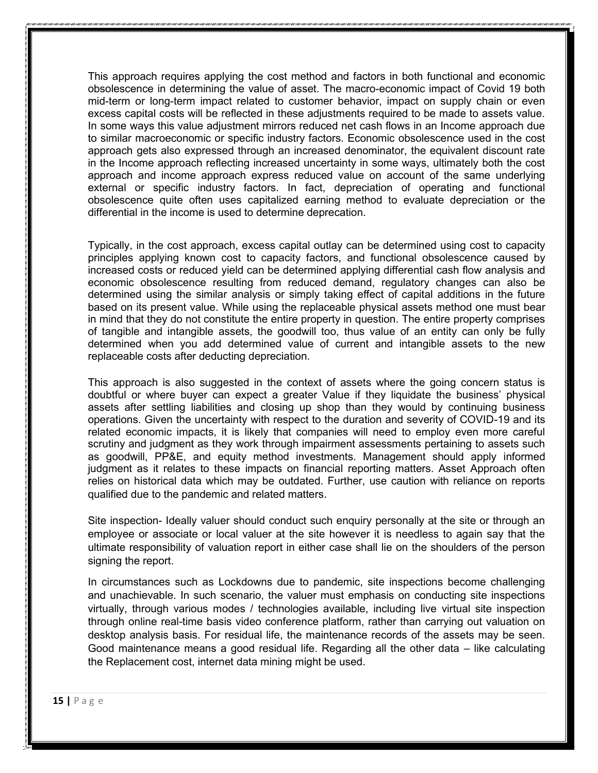This approach requires applying the cost method and factors in both functional and economic obsolescence in determining the value of asset. The macro-economic impact of Covid 19 both mid-term or long-term impact related to customer behavior, impact on supply chain or even excess capital costs will be reflected in these adjustments required to be made to assets value. In some ways this value adjustment mirrors reduced net cash flows in an Income approach due to similar macroeconomic or specific industry factors. Economic obsolescence used in the cost approach gets also expressed through an increased denominator, the equivalent discount rate in the Income approach reflecting increased uncertainty in some ways, ultimately both the cost approach and income approach express reduced value on account of the same underlying external or specific industry factors. In fact, depreciation of operating and functional obsolescence quite often uses capitalized earning method to evaluate depreciation or the differential in the income is used to determine deprecation.

Typically, in the cost approach, excess capital outlay can be determined using cost to capacity principles applying known cost to capacity factors, and functional obsolescence caused by increased costs or reduced yield can be determined applying differential cash flow analysis and economic obsolescence resulting from reduced demand, regulatory changes can also be determined using the similar analysis or simply taking effect of capital additions in the future based on its present value. While using the replaceable physical assets method one must bear in mind that they do not constitute the entire property in question. The entire property comprises of tangible and intangible assets, the goodwill too, thus value of an entity can only be fully determined when you add determined value of current and intangible assets to the new replaceable costs after deducting depreciation.

This approach is also suggested in the context of assets where the going concern status is doubtful or where buyer can expect a greater Value if they liquidate the business' physical assets after settling liabilities and closing up shop than they would by continuing business operations. Given the uncertainty with respect to the duration and severity of COVID-19 and its related economic impacts, it is likely that companies will need to employ even more careful scrutiny and judgment as they work through impairment assessments pertaining to assets such as goodwill, PP&E, and equity method investments. Management should apply informed judgment as it relates to these impacts on financial reporting matters. Asset Approach often relies on historical data which may be outdated. Further, use caution with reliance on reports qualified due to the pandemic and related matters.

Site inspection- Ideally valuer should conduct such enquiry personally at the site or through an employee or associate or local valuer at the site however it is needless to again say that the ultimate responsibility of valuation report in either case shall lie on the shoulders of the person signing the report.

In circumstances such as Lockdowns due to pandemic, site inspections become challenging and unachievable. In such scenario, the valuer must emphasis on conducting site inspections virtually, through various modes / technologies available, including live virtual site inspection through online real-time basis video conference platform, rather than carrying out valuation on desktop analysis basis. For residual life, the maintenance records of the assets may be seen. Good maintenance means a good residual life. Regarding all the other data – like calculating the Replacement cost, internet data mining might be used.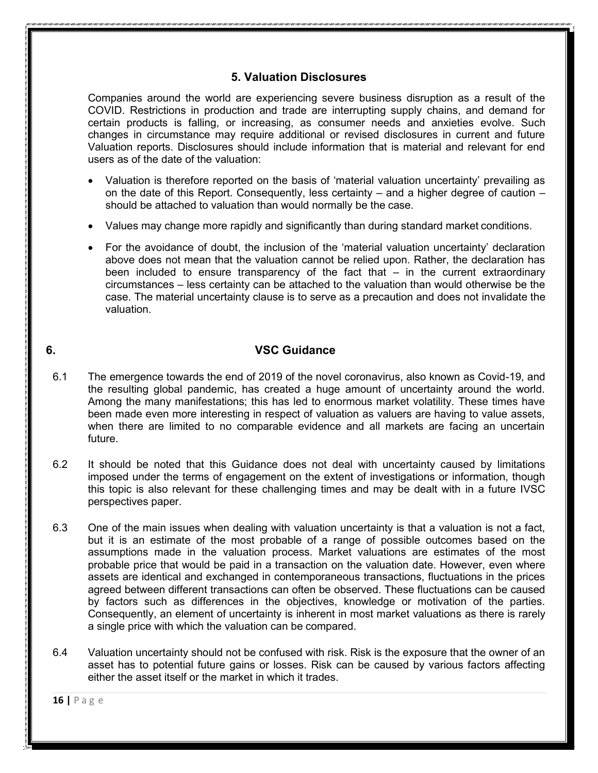## **5. Valuation Disclosures**

Companies around the world are experiencing severe business disruption as a result of the COVID. Restrictions in production and trade are interrupting supply chains, and demand for certain products is falling, or increasing, as consumer needs and anxieties evolve. Such changes in circumstance may require additional or revised disclosures in current and future Valuation reports. Disclosures should include information that is material and relevant for end users as of the date of the valuation:

- Valuation is therefore reported on the basis of 'material valuation uncertainty' prevailing as on the date of this Report. Consequently, less certainty – and a higher degree of caution – should be attached to valuation than would normally be the case.
- Values may change more rapidly and significantly than during standard market conditions.
- For the avoidance of doubt, the inclusion of the 'material valuation uncertainty' declaration above does not mean that the valuation cannot be relied upon. Rather, the declaration has been included to ensure transparency of the fact that – in the current extraordinary circumstances – less certainty can be attached to the valuation than would otherwise be the case. The material uncertainty clause is to serve as a precaution and does not invalidate the valuation.

## **6. VSC Guidance**

- 6.1 The emergence towards the end of 2019 of the novel coronavirus, also known as Covid-19, and the resulting global pandemic, has created a huge amount of uncertainty around the world. Among the many manifestations; this has led to enormous market volatility. These times have been made even more interesting in respect of valuation as valuers are having to value assets, when there are limited to no comparable evidence and all markets are facing an uncertain future.
- 6.2 It should be noted that this Guidance does not deal with uncertainty caused by limitations imposed under the terms of engagement on the extent of investigations or information, though this topic is also relevant for these challenging times and may be dealt with in a future IVSC perspectives paper.
- 6.3 One of the main issues when dealing with valuation uncertainty is that a valuation is not a fact, but it is an estimate of the most probable of a range of possible outcomes based on the assumptions made in the valuation process. Market valuations are estimates of the most probable price that would be paid in a transaction on the valuation date. However, even where assets are identical and exchanged in contemporaneous transactions, fluctuations in the prices agreed between different transactions can often be observed. These fluctuations can be caused by factors such as differences in the objectives, knowledge or motivation of the parties. Consequently, an element of uncertainty is inherent in most market valuations as there is rarely a single price with which the valuation can be compared.
- 6.4 Valuation uncertainty should not be confused with risk. Risk is the exposure that the owner of an asset has to potential future gains or losses. Risk can be caused by various factors affecting either the asset itself or the market in which it trades.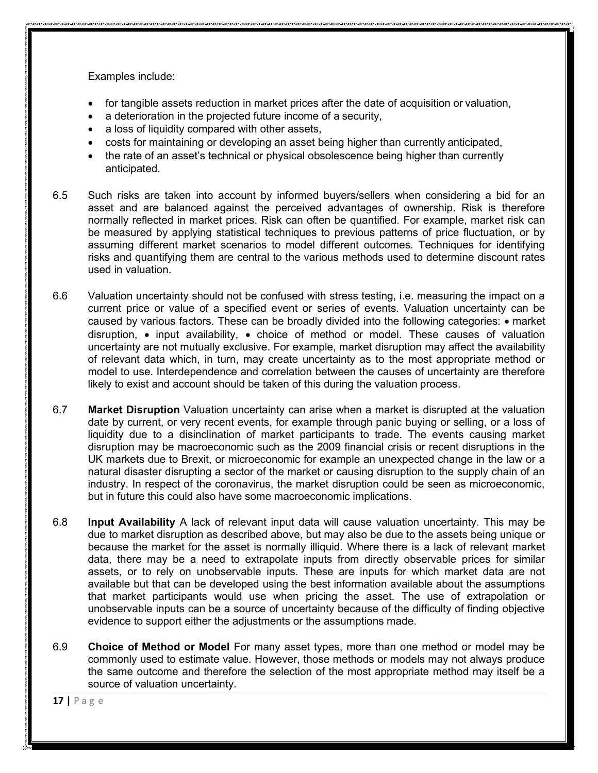Examples include:

- for tangible assets reduction in market prices after the date of acquisition or valuation,
- a deterioration in the projected future income of a security,
- a loss of liquidity compared with other assets,
- costs for maintaining or developing an asset being higher than currently anticipated,
- the rate of an asset's technical or physical obsolescence being higher than currently anticipated.
- 6.5 Such risks are taken into account by informed buyers/sellers when considering a bid for an asset and are balanced against the perceived advantages of ownership. Risk is therefore normally reflected in market prices. Risk can often be quantified. For example, market risk can be measured by applying statistical techniques to previous patterns of price fluctuation, or by assuming different market scenarios to model different outcomes. Techniques for identifying risks and quantifying them are central to the various methods used to determine discount rates used in valuation.
- 6.6 Valuation uncertainty should not be confused with stress testing, i.e. measuring the impact on a current price or value of a specified event or series of events. Valuation uncertainty can be caused by various factors. These can be broadly divided into the following categories: • market disruption, • input availability, • choice of method or model. These causes of valuation uncertainty are not mutually exclusive. For example, market disruption may affect the availability of relevant data which, in turn, may create uncertainty as to the most appropriate method or model to use. Interdependence and correlation between the causes of uncertainty are therefore likely to exist and account should be taken of this during the valuation process.
- 6.7 **Market Disruption** Valuation uncertainty can arise when a market is disrupted at the valuation date by current, or very recent events, for example through panic buying or selling, or a loss of liquidity due to a disinclination of market participants to trade. The events causing market disruption may be macroeconomic such as the 2009 financial crisis or recent disruptions in the UK markets due to Brexit, or microeconomic for example an unexpected change in the law or a natural disaster disrupting a sector of the market or causing disruption to the supply chain of an industry. In respect of the coronavirus, the market disruption could be seen as microeconomic, but in future this could also have some macroeconomic implications.
- 6.8 **Input Availability** A lack of relevant input data will cause valuation uncertainty. This may be due to market disruption as described above, but may also be due to the assets being unique or because the market for the asset is normally illiquid. Where there is a lack of relevant market data, there may be a need to extrapolate inputs from directly observable prices for similar assets, or to rely on unobservable inputs. These are inputs for which market data are not available but that can be developed using the best information available about the assumptions that market participants would use when pricing the asset. The use of extrapolation or unobservable inputs can be a source of uncertainty because of the difficulty of finding objective evidence to support either the adjustments or the assumptions made.
- 6.9 **Choice of Method or Model** For many asset types, more than one method or model may be commonly used to estimate value. However, those methods or models may not always produce the same outcome and therefore the selection of the most appropriate method may itself be a source of valuation uncertainty.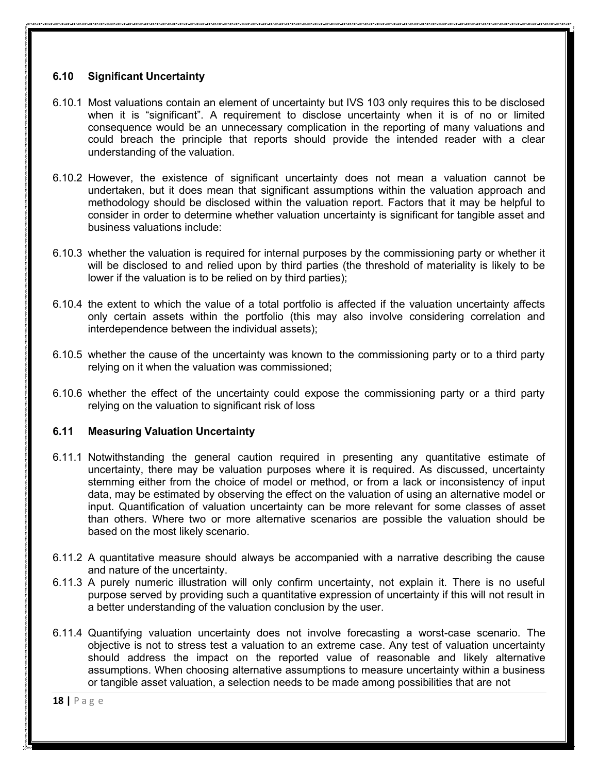## **6.10 Significant Uncertainty**

- 6.10.1 Most valuations contain an element of uncertainty but IVS 103 only requires this to be disclosed when it is "significant". A requirement to disclose uncertainty when it is of no or limited consequence would be an unnecessary complication in the reporting of many valuations and could breach the principle that reports should provide the intended reader with a clear understanding of the valuation.
- 6.10.2 However, the existence of significant uncertainty does not mean a valuation cannot be undertaken, but it does mean that significant assumptions within the valuation approach and methodology should be disclosed within the valuation report. Factors that it may be helpful to consider in order to determine whether valuation uncertainty is significant for tangible asset and business valuations include:
- 6.10.3 whether the valuation is required for internal purposes by the commissioning party or whether it will be disclosed to and relied upon by third parties (the threshold of materiality is likely to be lower if the valuation is to be relied on by third parties);
- 6.10.4 the extent to which the value of a total portfolio is affected if the valuation uncertainty affects only certain assets within the portfolio (this may also involve considering correlation and interdependence between the individual assets);
- 6.10.5 whether the cause of the uncertainty was known to the commissioning party or to a third party relying on it when the valuation was commissioned;
- 6.10.6 whether the effect of the uncertainty could expose the commissioning party or a third party relying on the valuation to significant risk of loss

## **6.11 Measuring Valuation Uncertainty**

- 6.11.1 Notwithstanding the general caution required in presenting any quantitative estimate of uncertainty, there may be valuation purposes where it is required. As discussed, uncertainty stemming either from the choice of model or method, or from a lack or inconsistency of input data, may be estimated by observing the effect on the valuation of using an alternative model or input. Quantification of valuation uncertainty can be more relevant for some classes of asset than others. Where two or more alternative scenarios are possible the valuation should be based on the most likely scenario.
- 6.11.2 A quantitative measure should always be accompanied with a narrative describing the cause and nature of the uncertainty.
- 6.11.3 A purely numeric illustration will only confirm uncertainty, not explain it. There is no useful purpose served by providing such a quantitative expression of uncertainty if this will not result in a better understanding of the valuation conclusion by the user.
- 6.11.4 Quantifying valuation uncertainty does not involve forecasting a worst-case scenario. The objective is not to stress test a valuation to an extreme case. Any test of valuation uncertainty should address the impact on the reported value of reasonable and likely alternative assumptions. When choosing alternative assumptions to measure uncertainty within a business or tangible asset valuation, a selection needs to be made among possibilities that are not